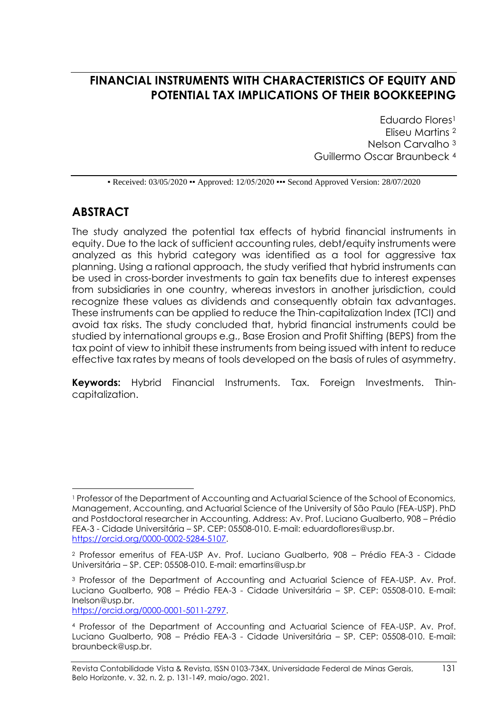# **FINANCIAL INSTRUMENTS WITH CHARACTERISTICS OF EQUITY AND POTENTIAL TAX IMPLICATIONS OF THEIR BOOKKEEPING**

Eduardo Flores<sup>1</sup> Eliseu Martins <sup>2</sup> Nelson Carvalho <sup>3</sup> Guillermo Oscar Braunbeck <sup>4</sup>

• Received: 03/05/2020 • Approved: 12/05/2020 • • Second Approved Version: 28/07/2020

### **ABSTRACT**

The study analyzed the potential tax effects of hybrid financial instruments in equity. Due to the lack of sufficient accounting rules, debt/equity instruments were analyzed as this hybrid category was identified as a tool for aggressive tax planning. Using a rational approach, the study verified that hybrid instruments can be used in cross-border investments to gain tax benefits due to interest expenses from subsidiaries in one country, whereas investors in another jurisdiction, could recognize these values as dividends and consequently obtain tax advantages. These instruments can be applied to reduce the Thin-capitalization Index (TCI) and avoid tax risks. The study concluded that, hybrid financial instruments could be studied by international groups e.g., Base Erosion and Profit Shifting (BEPS) from the tax point of view to inhibit these instruments from being issued with intent to reduce effective tax rates by means of tools developed on the basis of rules of asymmetry.

**Keywords:** Hybrid Financial Instruments. Tax. Foreign Investments. Thincapitalization.

[https://orcid.org/0000-0001-5011-2797.](https://orcid.org/0000-0001-5011-2797)

<sup>1</sup> Professor of the Department of Accounting and Actuarial Science of the School of Economics, Management, Accounting, and Actuarial Science of the University of São Paulo (FEA-USP). PhD and Postdoctoral researcher in Accounting. Address: Av. Prof. Luciano Gualberto, 908 – Prédio FEA-3 - Cidade Universitária – SP. CEP: 05508-010. E-mail: [eduardoflores@usp.br.](mailto:eduardoflores@usp.br) [https://orcid.org/0000-0002-5284-5107.](https://orcid.org/0000-0002-5284-5107)

<sup>2</sup> Professor emeritus of FEA-USP Av. Prof. Luciano Gualberto, 908 – Prédio FEA-3 - Cidade Universitária – SP. CEP: 05508-010. E-mail: [emartins@usp.br](mailto:emartins@usp.br)

<sup>3</sup> Professor of the Department of Accounting and Actuarial Science of FEA-USP. Av. Prof. Luciano Gualberto, 908 – Prédio FEA-3 - Cidade Universitária – SP. CEP: 05508-010. E-mail: [lnelson@usp.br.](mailto:lnelson@usp.br)

<sup>4</sup> Professor of the Department of Accounting and Actuarial Science of FEA-USP. Av. Prof. Luciano Gualberto, 908 – Prédio FEA-3 - Cidade Universitária – SP. CEP: 05508-010. E-mail: [braunbeck@usp.br.](mailto:braunbeck@usp.br)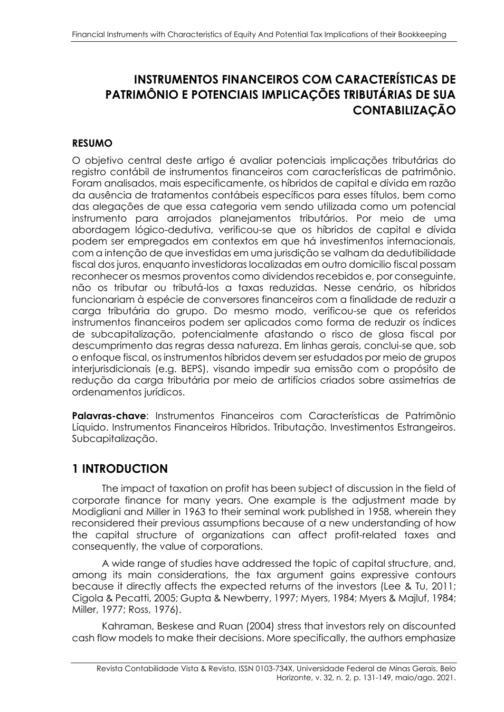# **INSTRUMENTOS FINANCEIROS COM CARACTERÍSTICAS DE PATRIMÔNIO E POTENCIAIS IMPLICAÇÕES TRIBUTÁRIAS DE SUA CONTABILIZAÇÃO**

### **RESUMO**

O objetivo central deste artigo é avaliar potenciais implicações tributárias do registro contábil de instrumentos financeiros com características de patrimônio. Foram analisados, mais especificamente, os híbridos de capital e dívida em razão da ausência de tratamentos contábeis específicos para esses títulos, bem como das alegações de que essa categoria vem sendo utilizada como um potencial instrumento para arrojados planejamentos tributários. Por meio de uma abordagem lógico-dedutiva, verificou-se que os híbridos de capital e dívida podem ser empregados em contextos em que há investimentos internacionais, com a intenção de que investidas em uma jurisdição se valham da dedutibilidade fiscal dos juros, enquanto investidoras localizadas em outro domicilio fiscal possam reconhecer os mesmos proventos como dividendos recebidos e, por conseguinte, não os tributar ou tributá-los a taxas reduzidas. Nesse cenário, os híbridos funcionariam à espécie de conversores financeiros com a finalidade de reduzir a carga tributária do grupo. Do mesmo modo, verificou-se que os referidos instrumentos financeiros podem ser aplicados como forma de reduzir os índices de subcapitalização, potencialmente afastando o risco de glosa fiscal por descumprimento das regras dessa natureza. Em linhas gerais, conclui-se que, sob o enfoque fiscal, os instrumentos híbridos devem ser estudados por meio de grupos interjurisdicionais (e.g. BEPS), visando impedir sua emissão com o propósito de redução da carga tributária por meio de artifícios criados sobre assimetrias de ordenamentos jurídicos.

**Palavras-chave**: Instrumentos Financeiros com Características de Patrimônio Líquido. Instrumentos Financeiros Híbridos. Tributação. Investimentos Estrangeiros. Subcapitalização.

### **1 INTRODUCTION**

The impact of taxation on profit has been subject of discussion in the field of corporate finance for many years. One example is the adjustment made by Modigliani and Miller in 1963 to their seminal work published in 1958, wherein they reconsidered their previous assumptions because of a new understanding of how the capital structure of organizations can affect profit-related taxes and consequently, the value of corporations.

A wide range of studies have addressed the topic of capital structure, and, among its main considerations, the tax argument gains expressive contours because it directly affects the expected returns of the investors (Lee & Tu, 2011; Cigola & Pecatti, 2005; Gupta & Newberry, 1997; Myers, 1984; Myers & Majluf, 1984; Miller, 1977; Ross, 1976).

Kahraman, Beskese and Ruan (2004) stress that investors rely on discounted cash flow models to make their decisions. More specifically, the authors emphasize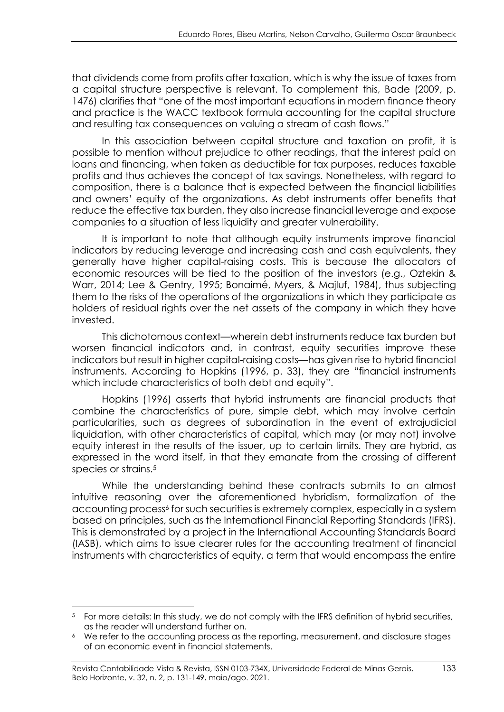that dividends come from profits after taxation, which is why the issue of taxes from a capital structure perspective is relevant. To complement this, Bade (2009, p. 1476) clarifies that "one of the most important equations in modern finance theory and practice is the WACC textbook formula accounting for the capital structure and resulting tax consequences on valuing a stream of cash flows."

In this association between capital structure and taxation on profit, it is possible to mention without prejudice to other readings, that the interest paid on loans and financing, when taken as deductible for tax purposes, reduces taxable profits and thus achieves the concept of tax savings. Nonetheless, with regard to composition, there is a balance that is expected between the financial liabilities and owners' equity of the organizations. As debt instruments offer benefits that reduce the effective tax burden, they also increase financial leverage and expose companies to a situation of less liquidity and greater vulnerability.

It is important to note that although equity instruments improve financial indicators by reducing leverage and increasing cash and cash equivalents, they generally have higher capital-raising costs. This is because the allocators of economic resources will be tied to the position of the investors (e.g., Oztekin & Warr, 2014; Lee & Gentry, 1995; Bonaimé, Myers, & Majluf, 1984), thus subjecting them to the risks of the operations of the organizations in which they participate as holders of residual rights over the net assets of the company in which they have invested.

This dichotomous context—wherein debt instruments reduce tax burden but worsen financial indicators and, in contrast, equity securities improve these indicators but result in higher capital-raising costs—has given rise to hybrid financial instruments. According to Hopkins (1996, p. 33), they are "financial instruments which include characteristics of both debt and equity".

Hopkins (1996) asserts that hybrid instruments are financial products that combine the characteristics of pure, simple debt, which may involve certain particularities, such as degrees of subordination in the event of extrajudicial liquidation, with other characteristics of capital, which may (or may not) involve equity interest in the results of the issuer, up to certain limits. They are hybrid, as expressed in the word itself, in that they emanate from the crossing of different species or strains. 5

While the understanding behind these contracts submits to an almost intuitive reasoning over the aforementioned hybridism, formalization of the accounting process<sup>6</sup> for such securities is extremely complex, especially in a system based on principles, such as the International Financial Reporting Standards (IFRS). This is demonstrated by a project in the International Accounting Standards Board (IASB), which aims to issue clearer rules for the accounting treatment of financial instruments with characteristics of equity, a term that would encompass the entire

<sup>&</sup>lt;sup>5</sup> For more details: In this study, we do not comply with the IFRS definition of hybrid securities, as the reader will understand further on.

We refer to the accounting process as the reporting, measurement, and disclosure stages of an economic event in financial statements.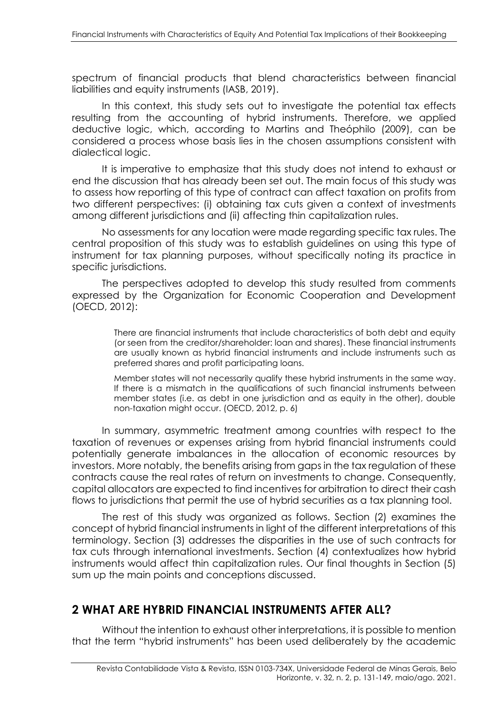spectrum of financial products that blend characteristics between financial liabilities and equity instruments (IASB, 2019).

In this context, this study sets out to investigate the potential tax effects resulting from the accounting of hybrid instruments. Therefore, we applied deductive logic, which, according to Martins and Theóphilo (2009), can be considered a process whose basis lies in the chosen assumptions consistent with dialectical logic.

It is imperative to emphasize that this study does not intend to exhaust or end the discussion that has already been set out. The main focus of this study was to assess how reporting of this type of contract can affect taxation on profits from two different perspectives: (i) obtaining tax cuts given a context of investments among different jurisdictions and (ii) affecting thin capitalization rules.

No assessments for any location were made regarding specific tax rules. The central proposition of this study was to establish guidelines on using this type of instrument for tax planning purposes, without specifically noting its practice in specific jurisdictions.

The perspectives adopted to develop this study resulted from comments expressed by the Organization for Economic Cooperation and Development (OECD, 2012):

> There are financial instruments that include characteristics of both debt and equity (or seen from the creditor/shareholder: loan and shares). These financial instruments are usually known as hybrid financial instruments and include instruments such as preferred shares and profit participating loans.

> Member states will not necessarily qualify these hybrid instruments in the same way. If there is a mismatch in the qualifications of such financial instruments between member states (i.e. as debt in one jurisdiction and as equity in the other), double non-taxation might occur. (OECD, 2012, p. 6)

In summary, asymmetric treatment among countries with respect to the taxation of revenues or expenses arising from hybrid financial instruments could potentially generate imbalances in the allocation of economic resources by investors. More notably, the benefits arising from gaps in the tax regulation of these contracts cause the real rates of return on investments to change. Consequently, capital allocators are expected to find incentives for arbitration to direct their cash flows to jurisdictions that permit the use of hybrid securities as a tax planning tool.

The rest of this study was organized as follows. Section (2) examines the concept of hybrid financial instruments in light of the different interpretations of this terminology. Section (3) addresses the disparities in the use of such contracts for tax cuts through international investments. Section (4) contextualizes how hybrid instruments would affect thin capitalization rules. Our final thoughts in Section (5) sum up the main points and conceptions discussed.

## **2 WHAT ARE HYBRID FINANCIAL INSTRUMENTS AFTER ALL?**

Without the intention to exhaust other interpretations, it is possible to mention that the term "hybrid instruments" has been used deliberately by the academic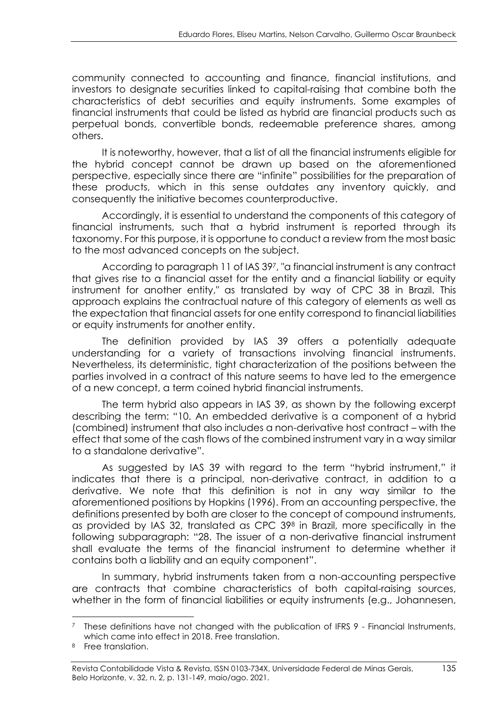community connected to accounting and finance, financial institutions, and investors to designate securities linked to capital-raising that combine both the characteristics of debt securities and equity instruments. Some examples of financial instruments that could be listed as hybrid are financial products such as perpetual bonds, convertible bonds, redeemable preference shares, among others.

It is noteworthy, however, that a list of all the financial instruments eligible for the hybrid concept cannot be drawn up based on the aforementioned perspective, especially since there are "infinite" possibilities for the preparation of these products, which in this sense outdates any inventory quickly, and consequently the initiative becomes counterproductive.

Accordingly, it is essential to understand the components of this category of financial instruments, such that a hybrid instrument is reported through its taxonomy. For this purpose, it is opportune to conduct a review from the most basic to the most advanced concepts on the subject.

According to paragraph 11 of IAS 397, "a financial instrument is any contract that gives rise to a financial asset for the entity and a financial liability or equity instrument for another entity," as translated by way of CPC 38 in Brazil. This approach explains the contractual nature of this category of elements as well as the expectation that financial assets for one entity correspond to financial liabilities or equity instruments for another entity.

The definition provided by IAS 39 offers a potentially adequate understanding for a variety of transactions involving financial instruments. Nevertheless, its deterministic, tight characterization of the positions between the parties involved in a contract of this nature seems to have led to the emergence of a new concept, a term coined hybrid financial instruments.

The term hybrid also appears in IAS 39, as shown by the following excerpt describing the term: "10. An embedded derivative is a component of a hybrid (combined) instrument that also includes a non-derivative host contract – with the effect that some of the cash flows of the combined instrument vary in a way similar to a standalone derivative".

As suggested by IAS 39 with regard to the term "hybrid instrument," it indicates that there is a principal, non-derivative contract, in addition to a derivative. We note that this definition is not in any way similar to the aforementioned positions by Hopkins (1996). From an accounting perspective, the definitions presented by both are closer to the concept of compound instruments, as provided by IAS 32, translated as CPC 39<sup>8</sup> in Brazil, more specifically in the following subparagraph: "28. The issuer of a non-derivative financial instrument shall evaluate the terms of the financial instrument to determine whether it contains both a liability and an equity component".

In summary, hybrid instruments taken from a non-accounting perspective are contracts that combine characteristics of both capital-raising sources, whether in the form of financial liabilities or equity instruments (e.g., Johannesen,

These definitions have not changed with the publication of IFRS 9 - Financial Instruments, which came into effect in 2018. Free translation.

Free translation.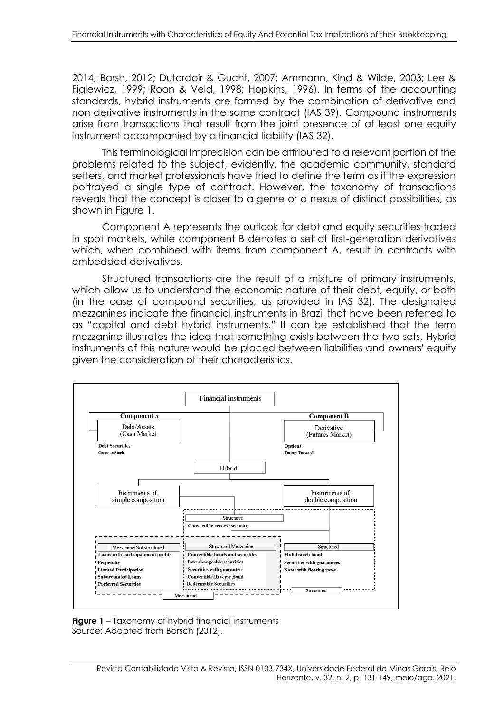2014; Barsh, 2012; Dutordoir & Gucht, 2007; Ammann, Kind & Wilde, 2003; Lee & Figlewicz, 1999; Roon & Veld, 1998; Hopkins, 1996). In terms of the accounting standards, hybrid instruments are formed by the combination of derivative and non-derivative instruments in the same contract (IAS 39). Compound instruments arise from transactions that result from the joint presence of at least one equity instrument accompanied by a financial liability (IAS 32).

This terminological imprecision can be attributed to a relevant portion of the problems related to the subject, evidently, the academic community, standard setters, and market professionals have tried to define the term as if the expression portrayed a single type of contract. However, the taxonomy of transactions reveals that the concept is closer to a genre or a nexus of distinct possibilities, as shown in Figure 1.

Component A represents the outlook for debt and equity securities traded in spot markets, while component B denotes a set of first-generation derivatives which, when combined with items from component A, result in contracts with embedded derivatives.

Structured transactions are the result of a mixture of primary instruments, which allow us to understand the economic nature of their debt, equity, or both (in the case of compound securities, as provided in IAS 32). The designated mezzanines indicate the financial instruments in Brazil that have been referred to as "capital and debt hybrid instruments." It can be established that the term mezzanine illustrates the idea that something exists between the two sets. Hybrid instruments of this nature would be placed between liabilities and owners' equity given the consideration of their characteristics.



**Figure 1** – Taxonomy of hybrid financial instruments Source: Adapted from Barsch (2012).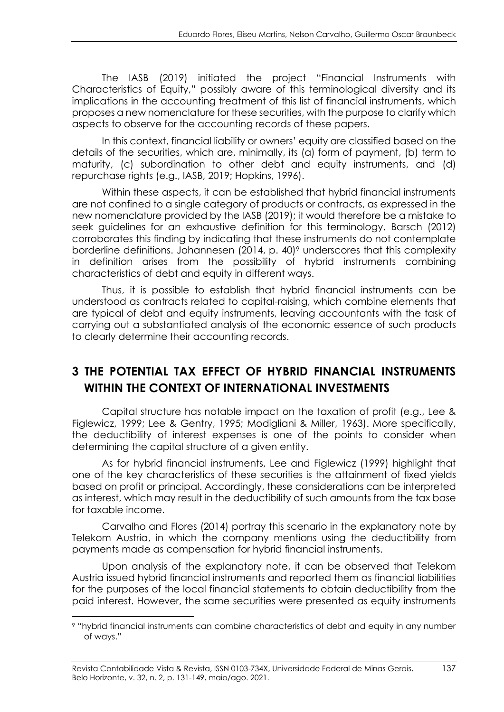The IASB (2019) initiated the project "Financial Instruments with Characteristics of Equity," possibly aware of this terminological diversity and its implications in the accounting treatment of this list of financial instruments, which proposes a new nomenclature for these securities, with the purpose to clarify which aspects to observe for the accounting records of these papers.

In this context, financial liability or owners' equity are classified based on the details of the securities, which are, minimally, its (a) form of payment, (b) term to maturity, (c) subordination to other debt and equity instruments, and (d) repurchase rights (e.g., IASB, 2019; Hopkins, 1996).

Within these aspects, it can be established that hybrid financial instruments are not confined to a single category of products or contracts, as expressed in the new nomenclature provided by the IASB (2019); it would therefore be a mistake to seek guidelines for an exhaustive definition for this terminology. Barsch (2012) corroborates this finding by indicating that these instruments do not contemplate borderline definitions. Johannesen (2014, p. 40)<sup>9</sup> underscores that this complexity in definition arises from the possibility of hybrid instruments combining characteristics of debt and equity in different ways.

Thus, it is possible to establish that hybrid financial instruments can be understood as contracts related to capital-raising, which combine elements that are typical of debt and equity instruments, leaving accountants with the task of carrying out a substantiated analysis of the economic essence of such products to clearly determine their accounting records.

# **3 THE POTENTIAL TAX EFFECT OF HYBRID FINANCIAL INSTRUMENTS WITHIN THE CONTEXT OF INTERNATIONAL INVESTMENTS**

Capital structure has notable impact on the taxation of profit (e.g., Lee & Figlewicz, 1999; Lee & Gentry, 1995; Modigliani & Miller, 1963). More specifically, the deductibility of interest expenses is one of the points to consider when determining the capital structure of a given entity.

As for hybrid financial instruments, Lee and Figlewicz (1999) highlight that one of the key characteristics of these securities is the attainment of fixed yields based on profit or principal. Accordingly, these considerations can be interpreted as interest, which may result in the deductibility of such amounts from the tax base for taxable income.

Carvalho and Flores (2014) portray this scenario in the explanatory note by Telekom Austria, in which the company mentions using the deductibility from payments made as compensation for hybrid financial instruments.

Upon analysis of the explanatory note, it can be observed that Telekom Austria issued hybrid financial instruments and reported them as financial liabilities for the purposes of the local financial statements to obtain deductibility from the paid interest. However, the same securities were presented as equity instruments

<sup>9</sup> "hybrid financial instruments can combine characteristics of debt and equity in any number of ways."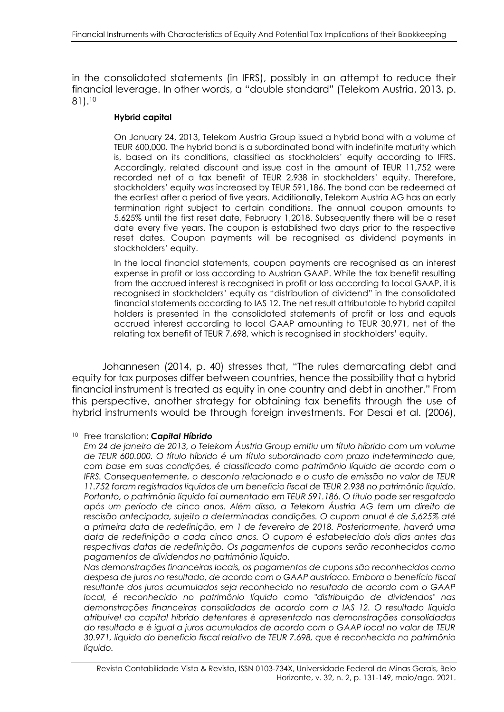in the consolidated statements (in IFRS), possibly in an attempt to reduce their financial leverage. In other words, a "double standard" (Telekom Austria, 2013, p. 81). 10

#### **Hybrid capital**

On January 24, 2013, Telekom Austria Group issued a hybrid bond with a volume of TEUR 600,000. The hybrid bond is a subordinated bond with indefinite maturity which is, based on its conditions, classified as stockholders' equity according to IFRS. Accordingly, related discount and issue cost in the amount of TEUR 11,752 were recorded net of a tax benefit of TEUR 2,938 in stockholders' equity. Therefore, stockholders' equity was increased by TEUR 591,186. The bond can be redeemed at the earliest after a period of five years. Additionally, Telekom Austria AG has an early termination right subject to certain conditions. The annual coupon amounts to 5.625% until the first reset date, February 1,2018. Subsequently there will be a reset date every five years. The coupon is established two days prior to the respective reset dates. Coupon payments will be recognised as dividend payments in stockholders' equity.

In the local financial statements, coupon payments are recognised as an interest expense in profit or loss according to Austrian GAAP. While the tax benefit resulting from the accrued interest is recognised in profit or loss according to local GAAP, it is recognised in stockholders' equity as "distribution of dividend" in the consolidated financial statements according to IAS 12. The net result attributable to hybrid capital holders is presented in the consolidated statements of profit or loss and equals accrued interest according to local GAAP amounting to TEUR 30,971, net of the relating tax benefit of TEUR 7,698, which is recognised in stockholders' equity.

Johannesen (2014, p. 40) stresses that, "The rules demarcating debt and equity for tax purposes differ between countries, hence the possibility that a hybrid financial instrument is treated as equity in one country and debt in another." From this perspective, another strategy for obtaining tax benefits through the use of hybrid instruments would be through foreign investments. For Desgi et al. (2006),

<sup>10</sup> Free translation: *Capital Híbrido*

*Em 24 de janeiro de 2013, o Telekom Áustria Group emitiu um título híbrido com um volume de TEUR 600.000. O título híbrido é um título subordinado com prazo indeterminado que, com base em suas condições, é classificado como patrimônio líquido de acordo com o IFRS. Consequentemente, o desconto relacionado e o custo de emissão no valor de TEUR 11.752 foram registrados líquidos de um benefício fiscal de TEUR 2.938 no patrimônio líquido. Portanto, o patrimônio líquido foi aumentado em TEUR 591.186. O título pode ser resgatado após um período de cinco anos. Além disso, a Telekom Áustria AG tem um direito de rescisão antecipada, sujeito a determinadas condições. O cupom anual é de 5,625% até a primeira data de redefinição, em 1 de fevereiro de 2018. Posteriormente, haverá uma data de redefinição a cada cinco anos. O cupom é estabelecido dois dias antes das respectivas datas de redefinição. Os pagamentos de cupons serão reconhecidos como pagamentos de dividendos no patrimônio líquido.*

*Nas demonstrações financeiras locais, os pagamentos de cupons são reconhecidos como despesa de juros no resultado, de acordo com o GAAP austríaco. Embora o benefício fiscal resultante dos juros acumulados seja reconhecido no resultado de acordo com o GAAP local, é reconhecido no patrimônio líquido como "distribuição de dividendos" nas demonstrações financeiras consolidadas de acordo com a IAS 12. O resultado líquido atribuível ao capital híbrido detentores é apresentado nas demonstrações consolidadas do resultado e é igual a juros acumulados de acordo com o GAAP local no valor de TEUR 30.971, líquido do benefício fiscal relativo de TEUR 7.698, que é reconhecido no patrimônio líquido.*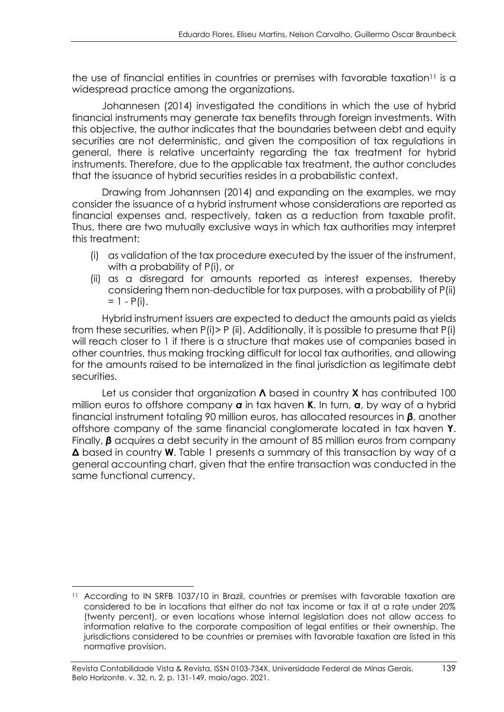the use of financial entities in countries or premises with favorable taxation<sup>11</sup> is a widespread practice among the organizations.

Johannesen (2014) investigated the conditions in which the use of hybrid financial instruments may generate tax benefits through foreign investments. With this objective, the author indicates that the boundaries between debt and equity securities are not deterministic, and given the composition of tax regulations in general, there is relative uncertainty regarding the tax treatment for hybrid instruments. Therefore, due to the applicable tax treatment, the author concludes that the issuance of hybrid securities resides in a probabilistic context.

Drawing from Johannsen (2014) and expanding on the examples, we may consider the issuance of a hybrid instrument whose considerations are reported as financial expenses and, respectively, taken as a reduction from taxable profit. Thus, there are two mutually exclusive ways in which tax authorities may interpret this treatment:

- (i) as validation of the tax procedure executed by the issuer of the instrument, with a probability of P(i), or
- (ii) as a disregard for amounts reported as interest expenses, thereby considering them non-deductible for tax purposes, with a probability of P(ii)  $= 1 - P(i)$ .

Hybrid instrument issuers are expected to deduct the amounts paid as yields from these securities, when P(i)> P (ii). Additionally, it is possible to presume that P(i) will reach closer to 1 if there is a structure that makes use of companies based in other countries, thus making tracking difficult for local tax authorities, and allowing for the amounts raised to be internalized in the final jurisdiction as legitimate debt securities.

Let us consider that organization **Λ** based in country **X** has contributed 100 million euros to offshore company *α* in tax haven **K**. In turn, *α*, by way of a hybrid financial instrument totaling 90 million euros, has allocated resources in *β*, another offshore company of the same financial conglomerate located in tax haven **Y**. Finally,  $\beta$  acquires a debt security in the amount of 85 million euros from company **Δ** based in country **W**. Table 1 presents a summary of this transaction by way of a general accounting chart, given that the entire transaction was conducted in the same functional currency.

<sup>&</sup>lt;sup>11</sup> According to IN SRFB 1037/10 in Brazil, countries or premises with favorable taxation are considered to be in locations that either do not tax income or tax it at a rate under 20% (twenty percent), or even locations whose internal legislation does not allow access to information relative to the corporate composition of legal entities or their ownership. The jurisdictions considered to be countries or premises with favorable taxation are listed in this normative provision.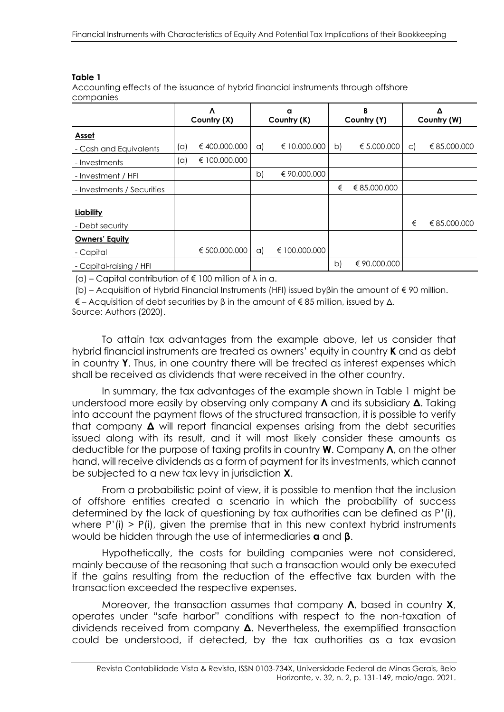#### **Table 1**

Accounting effects of the issuance of hybrid financial instruments through offshore companies

|                            |     | Λ<br>Country (X) |              | B<br>a<br>Country (K)<br>Country (Y) |    |              |         | Country (W)  |
|----------------------------|-----|------------------|--------------|--------------------------------------|----|--------------|---------|--------------|
| <b>Asset</b>               |     |                  |              |                                      |    |              |         |              |
| - Cash and Equivalents     | (a) | €400.000.000     | $\alpha$     | € 10.000.000                         | b) | € 5.000.000  | $\circ$ | € 85,000,000 |
| - Investments              | (a) | € 100,000,000    |              |                                      |    |              |         |              |
| - Investment / HFI         |     |                  | $\mathsf{b}$ | € 90.000.000                         |    |              |         |              |
| - Investments / Securities |     |                  |              |                                      | €  | € 85.000.000 |         |              |
|                            |     |                  |              |                                      |    |              |         |              |
| Liability                  |     |                  |              |                                      |    |              |         |              |
| - Debt security            |     |                  |              |                                      |    |              | €       | € 85.000.000 |
| <b>Owners' Equity</b>      |     |                  |              |                                      |    |              |         |              |
| - Capital                  |     | € 500.000.000    | $\alpha$     | € 100,000,000                        |    |              |         |              |
| - Capital-raising / HFI    |     |                  |              |                                      | b) | € 90.000.000 |         |              |

(a) – Capital contribution of  $\epsilon$  100 million of  $\lambda$  in a.

(b) – Acquisition of Hybrid Financial Instruments (HFI) issued byβin the amount of € 90 million.

 $\epsilon$  – Acquisition of debt securities by β in the amount of  $\epsilon$  85 million, issued by  $\Delta$ .

Source: Authors (2020).

To attain tax advantages from the example above, let us consider that hybrid financial instruments are treated as owners' equity in country **K** and as debt in country **Y**. Thus, in one country there will be treated as interest expenses which shall be received as dividends that were received in the other country.

In summary, the tax advantages of the example shown in Table 1 might be understood more easily by observing only company **Λ** and its subsidiary **Δ**. Taking into account the payment flows of the structured transaction, it is possible to verify that company **Δ** will report financial expenses arising from the debt securities issued along with its result, and it will most likely consider these amounts as deductible for the purpose of taxing profits in country **W**. Company **Λ**, on the other hand, will receive dividends as a form of payment for its investments, which cannot be subjected to a new tax levy in jurisdiction **X**.

From a probabilistic point of view, it is possible to mention that the inclusion of offshore entities created a scenario in which the probability of success determined by the lack of questioning by tax authorities can be defined as P'(i), where  $P'(i) > P(i)$ , given the premise that in this new context hybrid instruments would be hidden through the use of intermediaries **α** and **β**.

Hypothetically, the costs for building companies were not considered, mainly because of the reasoning that such a transaction would only be executed if the gains resulting from the reduction of the effective tax burden with the transaction exceeded the respective expenses.

Moreover, the transaction assumes that company **Λ**, based in country **X**, operates under "safe harbor" conditions with respect to the non-taxation of dividends received from company **Δ**. Nevertheless, the exemplified transaction could be understood, if detected, by the tax authorities as a tax evasion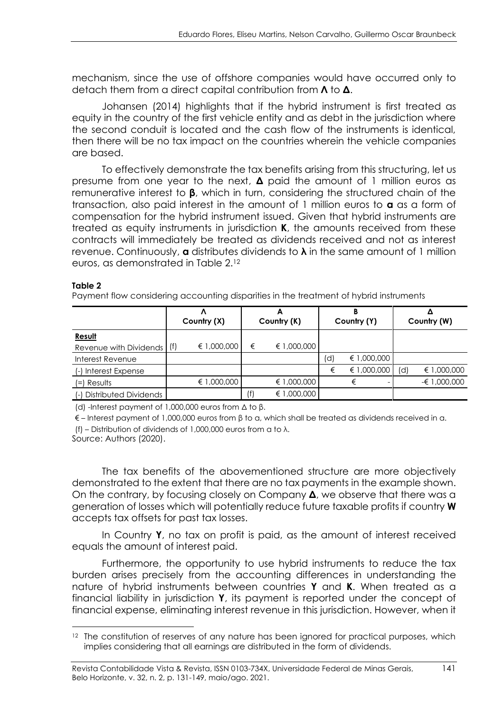mechanism, since the use of offshore companies would have occurred only to detach them from a direct capital contribution from **Λ** to **Δ**.

Johansen (2014) highlights that if the hybrid instrument is first treated as equity in the country of the first vehicle entity and as debt in the jurisdiction where the second conduit is located and the cash flow of the instruments is identical, then there will be no tax impact on the countries wherein the vehicle companies are based.

To effectively demonstrate the tax benefits arising from this structuring, let us presume from one year to the next, **Δ** paid the amount of 1 million euros as remunerative interest to **β**, which in turn, considering the structured chain of the transaction, also paid interest in the amount of 1 million euros to **α** as a form of compensation for the hybrid instrument issued. Given that hybrid instruments are treated as equity instruments in jurisdiction **K**, the amounts received from these contracts will immediately be treated as dividends received and not as interest revenue. Continuously, **α** distributes dividends to **λ** in the same amount of 1 million euros, as demonstrated in Table 2. 12

#### **Table 2**

Payment flow considering accounting disparities in the treatment of hybrid instruments

|                           | Country (X) |             | Country (K) |  | В<br>Country (Y) |    |             | Country (W) |              |
|---------------------------|-------------|-------------|-------------|--|------------------|----|-------------|-------------|--------------|
| Result                    |             |             |             |  |                  |    |             |             |              |
| Revenue with Dividends    | (f)         | € 1,000,000 | €           |  | € 1,000,000      |    |             |             |              |
| Interest Revenue          |             |             |             |  |                  | 'd | € 1,000,000 |             |              |
| Interest Expense<br>$(-)$ |             |             |             |  |                  |    | € 1,000,000 | (d          | € 1,000,000  |
| Results<br>$=$            |             | € 1,000,000 |             |  | € 1,000,000      |    |             |             | -€ 1,000,000 |
| Distributed Dividends     |             |             | (f)         |  | € 1,000,000      |    |             |             |              |

(d) -Interest payment of 1,000,000 euros from Δ to β.

 $\epsilon$  – Interest payment of 1,000,000 euros from  $\beta$  to a, which shall be treated as dividends received in a. (f) – Distribution of dividends of 1,000,000 euros from α to λ.

Source: Authors (2020).

The tax benefits of the abovementioned structure are more objectively demonstrated to the extent that there are no tax payments in the example shown. On the contrary, by focusing closely on Company **Δ**, we observe that there was a generation of losses which will potentially reduce future taxable profits if country **W** accepts tax offsets for past tax losses.

In Country **Y**, no tax on profit is paid, as the amount of interest received equals the amount of interest paid.

Furthermore, the opportunity to use hybrid instruments to reduce the tax burden arises precisely from the accounting differences in understanding the nature of hybrid instruments between countries **Y** and **K**. When treated as a financial liability in jurisdiction **Y**, its payment is reported under the concept of financial expense, eliminating interest revenue in this jurisdiction. However, when it

<sup>&</sup>lt;sup>12</sup> The constitution of reserves of any nature has been ignored for practical purposes, which implies considering that all earnings are distributed in the form of dividends.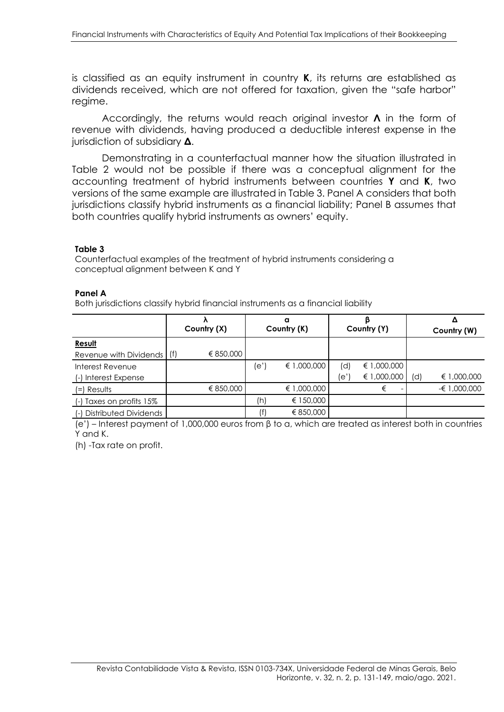is classified as an equity instrument in country **K**, its returns are established as dividends received, which are not offered for taxation, given the "safe harbor" regime.

Accordingly, the returns would reach original investor **Λ** in the form of revenue with dividends, having produced a deductible interest expense in the jurisdiction of subsidiary **Δ**.

Demonstrating in a counterfactual manner how the situation illustrated in Table 2 would not be possible if there was a conceptual alignment for the accounting treatment of hybrid instruments between countries **Y** and **K**, two versions of the same example are illustrated in Table 3. Panel A considers that both jurisdictions classify hybrid instruments as a financial liability; Panel B assumes that both countries qualify hybrid instruments as owners' equity.

#### **Table 3**

Counterfactual examples of the treatment of hybrid instruments considering a conceptual alignment between K and Y

#### **Panel A**

Both jurisdictions classify hybrid financial instruments as a financial liability

|                               |     |             | a           |             |     |             |     | Δ             |
|-------------------------------|-----|-------------|-------------|-------------|-----|-------------|-----|---------------|
|                               |     | Country (X) | Country (K) |             |     | Country (Y) |     | Country (W)   |
| Result                        |     |             |             |             |     |             |     |               |
| Revenue with Dividends        | (f) | € 850,000   |             |             |     |             |     |               |
| Interest Revenue              |     |             | (e')        | € 1,000,000 | (d) | € 1,000,000 |     |               |
| (-) Interest Expense          |     |             |             |             | e'  | € 1,000,000 | (d) | € 1,000,000   |
| (=) Results                   |     | € 850,000   |             | € 1,000,000 |     | €           |     | $-61,000,000$ |
| Taxes on profits 15%<br>$(-)$ |     |             | (h)         | € 150,000   |     |             |     |               |
| Distributed Dividends         |     |             |             | € 850,000   |     |             |     |               |

(e') – Interest payment of 1,000,000 euros from β to α, which are treated as interest both in countries Y and K.

(h) -Tax rate on profit.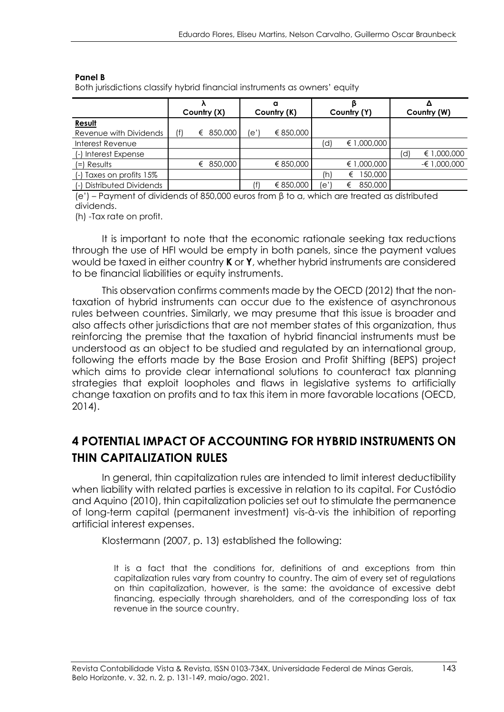#### **Panel B**

Both jurisdictions classify hybrid financial instruments as owners' equity

|                           | Country (X) |   | a<br>Country (K) |      | Country (Y) |     | Country (W)  |  |               |
|---------------------------|-------------|---|------------------|------|-------------|-----|--------------|--|---------------|
| Result                    |             |   |                  |      |             |     |              |  |               |
| Revenue with Dividends    | (f)         | € | 850,000          | le'' | € 850,000   |     |              |  |               |
| Interest Revenue          |             |   |                  |      |             | (d) | € 1,000,000  |  |               |
| Interest Expense<br>$(-)$ |             |   |                  |      |             |     |              |  | € 1,000,000   |
| Results<br>$(=)$          |             | € | 850,000          |      | € 850,000   |     | € 1,000,000  |  | $-61,000,000$ |
| Taxes on profits 15%      |             |   |                  |      |             | (h) | 150,000<br>€ |  |               |
| (-) Distributed Dividends |             |   |                  |      | € 850,000   | le' | 850,000<br>€ |  |               |

(e') – Payment of dividends of 850,000 euros from β to α, which are treated as distributed dividends.

(h) -Tax rate on profit.

It is important to note that the economic rationale seeking tax reductions through the use of HFI would be empty in both panels, since the payment values would be taxed in either country **K** or **Y**, whether hybrid instruments are considered to be financial liabilities or equity instruments.

This observation confirms comments made by the OECD (2012) that the nontaxation of hybrid instruments can occur due to the existence of asynchronous rules between countries. Similarly, we may presume that this issue is broader and also affects other jurisdictions that are not member states of this organization, thus reinforcing the premise that the taxation of hybrid financial instruments must be understood as an object to be studied and regulated by an international group, following the efforts made by the Base Erosion and Profit Shifting (BEPS) project which aims to provide clear international solutions to counteract tax planning strategies that exploit loopholes and flaws in legislative systems to artificially change taxation on profits and to tax this item in more favorable locations (OECD, 2014).

# **4 POTENTIAL IMPACT OF ACCOUNTING FOR HYBRID INSTRUMENTS ON THIN CAPITALIZATION RULES**

In general, thin capitalization rules are intended to limit interest deductibility when liability with related parties is excessive in relation to its capital. For Custódio and Aquino (2010), thin capitalization policies set out to stimulate the permanence of long-term capital (permanent investment) vis-à-vis the inhibition of reporting artificial interest expenses.

Klostermann (2007, p. 13) established the following:

It is a fact that the conditions for, definitions of and exceptions from thin capitalization rules vary from country to country. The aim of every set of regulations on thin capitalization, however, is the same: the avoidance of excessive debt financing, especially through shareholders, and of the corresponding loss of tax revenue in the source country.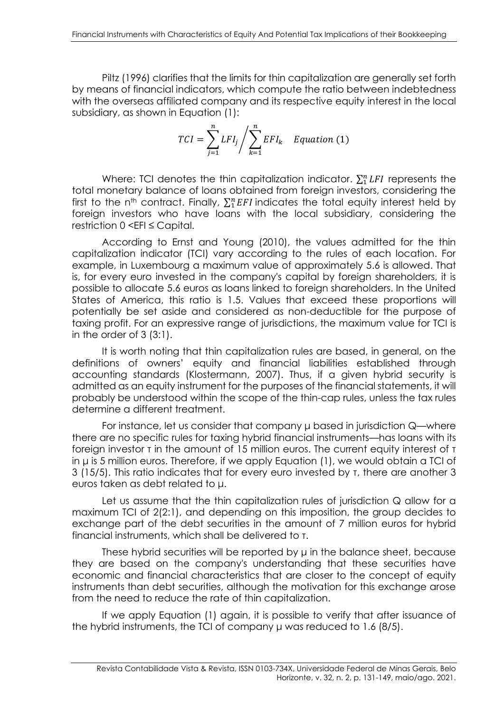Piltz (1996) clarifies that the limits for thin capitalization are generally set forth by means of financial indicators, which compute the ratio between indebtedness with the overseas affiliated company and its respective equity interest in the local subsidiary, as shown in Equation (1):

$$
TCI = \sum_{j=1}^{n} LFI_j / \sum_{k=1}^{n} EFI_k \quad Equation (1)
$$

Where: TCI denotes the thin capitalization indicator.  $\sum_1^n LFI$  represents the total monetary balance of loans obtained from foreign investors, considering the first to the n<sup>th</sup> contract. Finally,  $\sum_1^n EFI$  indicates the total equity interest held by foreign investors who have loans with the local subsidiary, considering the restriction 0 <EFI *≤* Capital.

According to Ernst and Young (2010), the values admitted for the thin capitalization indicator (TCI) vary according to the rules of each location. For example, in Luxembourg a maximum value of approximately 5.6 is allowed. That is, for every euro invested in the company's capital by foreign shareholders, it is possible to allocate 5.6 euros as loans linked to foreign shareholders. In the United States of America, this ratio is 1.5. Values that exceed these proportions will potentially be set aside and considered as non-deductible for the purpose of taxing profit. For an expressive range of jurisdictions, the maximum value for TCI is in the order of  $3(3:1)$ .

It is worth noting that thin capitalization rules are based, in general, on the definitions of owners' equity and financial liabilities established through accounting standards (Klostermann, 2007). Thus, if a given hybrid security is admitted as an equity instrument for the purposes of the financial statements, it will probably be understood within the scope of the thin-cap rules, unless the tax rules determine a different treatment.

For instance, let us consider that company μ based in jurisdiction Q—where there are no specific rules for taxing hybrid financial instruments—has loans with its foreign investor τ in the amount of 15 million euros. The current equity interest of τ in μ is 5 million euros. Therefore, if we apply Equation (1), we would obtain a TCI of 3 (15/5). This ratio indicates that for every euro invested by τ, there are another 3 euros taken as debt related to μ.

Let us assume that the thin capitalization rules of jurisdiction Q allow for a maximum TCI of 2(2:1), and depending on this imposition, the group decides to exchange part of the debt securities in the amount of 7 million euros for hybrid financial instruments, which shall be delivered to τ.

These hybrid securities will be reported by μ in the balance sheet, because they are based on the company's understanding that these securities have economic and financial characteristics that are closer to the concept of equity instruments than debt securities, although the motivation for this exchange arose from the need to reduce the rate of thin capitalization.

If we apply Equation (1) again, it is possible to verify that after issuance of the hybrid instruments, the TCI of company μ was reduced to 1.6 (8/5).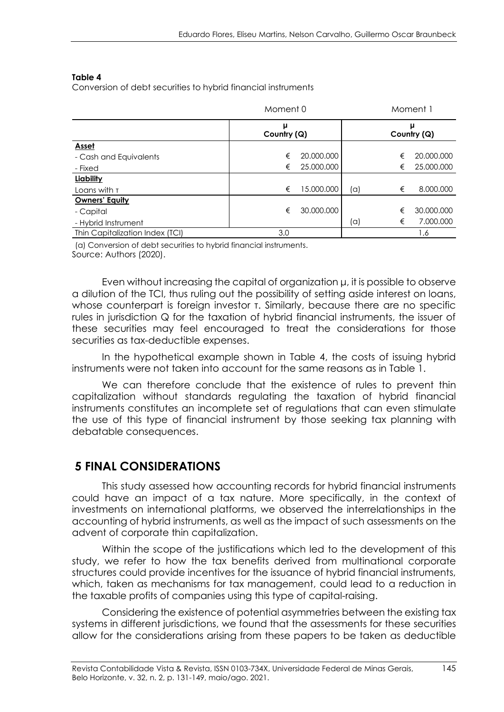#### **Table 4**

Conversion of debt securities to hybrid financial instruments

|                                 | Moment 0         |            |     |   | Moment 1    |
|---------------------------------|------------------|------------|-----|---|-------------|
|                                 | μ<br>Country (Q) |            |     |   | Country (Q) |
| <b>Asset</b>                    |                  |            |     |   |             |
| - Cash and Equivalents          | €                | 20.000.000 |     | € | 20,000,000  |
| - Fixed                         | €                | 25.000.000 |     | € | 25.000.000  |
| Liability                       |                  |            |     |   |             |
| Loans with T                    | €                | 15.000.000 | (a) | € | 8.000.000   |
| <b>Owners' Equity</b>           |                  |            |     |   |             |
| - Capital                       | €                | 30.000.000 |     | € | 30.000.000  |
| - Hybrid Instrument             |                  |            | (a) | € | 7.000.000   |
| Thin Capitalization Index (TCI) | 3,0              |            |     |   | 1,6         |

(a) Conversion of debt securities to hybrid financial instruments. Source: Authors (2020).

Even without increasing the capital of organization μ, it is possible to observe a dilution of the TCI, thus ruling out the possibility of setting aside interest on loans, whose counterpart is foreign investor τ. Similarly, because there are no specific rules in jurisdiction Q for the taxation of hybrid financial instruments, the issuer of these securities may feel encouraged to treat the considerations for those securities as tax-deductible expenses.

In the hypothetical example shown in Table 4, the costs of issuing hybrid instruments were not taken into account for the same reasons as in Table 1.

We can therefore conclude that the existence of rules to prevent thin capitalization without standards regulating the taxation of hybrid financial instruments constitutes an incomplete set of regulations that can even stimulate the use of this type of financial instrument by those seeking tax planning with debatable consequences.

### **5 FINAL CONSIDERATIONS**

This study assessed how accounting records for hybrid financial instruments could have an impact of a tax nature. More specifically, in the context of investments on international platforms, we observed the interrelationships in the accounting of hybrid instruments, as well as the impact of such assessments on the advent of corporate thin capitalization.

Within the scope of the justifications which led to the development of this study, we refer to how the tax benefits derived from multinational corporate structures could provide incentives for the issuance of hybrid financial instruments, which, taken as mechanisms for tax management, could lead to a reduction in the taxable profits of companies using this type of capital-raising.

Considering the existence of potential asymmetries between the existing tax systems in different jurisdictions, we found that the assessments for these securities allow for the considerations arising from these papers to be taken as deductible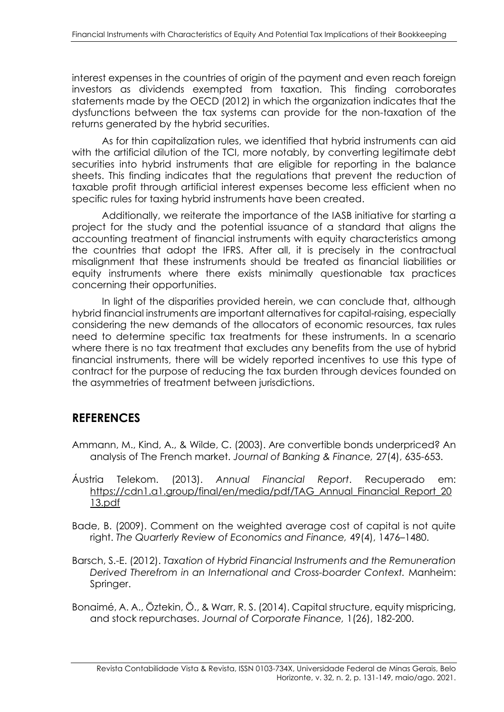interest expenses in the countries of origin of the payment and even reach foreign investors as dividends exempted from taxation. This finding corroborates statements made by the OECD (2012) in which the organization indicates that the dysfunctions between the tax systems can provide for the non-taxation of the returns generated by the hybrid securities.

As for thin capitalization rules, we identified that hybrid instruments can aid with the artificial dilution of the TCI, more notably, by converting legitimate debt securities into hybrid instruments that are eligible for reporting in the balance sheets. This finding indicates that the regulations that prevent the reduction of taxable profit through artificial interest expenses become less efficient when no specific rules for taxing hybrid instruments have been created.

Additionally, we reiterate the importance of the IASB initiative for starting a project for the study and the potential issuance of a standard that aligns the accounting treatment of financial instruments with equity characteristics among the countries that adopt the IFRS. After all, it is precisely in the contractual misalignment that these instruments should be treated as financial liabilities or equity instruments where there exists minimally questionable tax practices concerning their opportunities.

In light of the disparities provided herein, we can conclude that, although hybrid financial instruments are important alternatives for capital-raising, especially considering the new demands of the allocators of economic resources, tax rules need to determine specific tax treatments for these instruments. In a scenario where there is no tax treatment that excludes any benefits from the use of hybrid financial instruments, there will be widely reported incentives to use this type of contract for the purpose of reducing the tax burden through devices founded on the asymmetries of treatment between jurisdictions.

## **REFERENCES**

- Ammann, M., Kind, A., & Wilde, C. (2003). Are convertible bonds underpriced? An analysis of The French market. *Journal of Banking & Finance,* 27(4), 635-653.
- Áustria Telekom. (2013). *Annual Financial Report*. Recuperado em: [https://cdn1.a1.group/final/en/media/pdf/TAG\\_Annual\\_Financial\\_Report\\_20](https://cdn1.a1.group/final/en/media/pdf/TAG_Annual_Financial_Report_2013.pdf) [13.pdf](https://cdn1.a1.group/final/en/media/pdf/TAG_Annual_Financial_Report_2013.pdf)
- Bade, B. (2009). Comment on the weighted average cost of capital is not quite right. *The Quarterly Review of Economics and Finance,* 49(4), 1476–1480.
- Barsch, S.-E. (2012). *Taxation of Hybrid Financial Instruments and the Remuneration Derived Therefrom in an International and Cross-boarder Context.* Manheim: Springer.
- Bonaimé, A. A., Öztekin, Ö., & Warr, R. S. (2014). Capital structure, equity mispricing, and stock repurchases. *Journal of Corporate Finance,* 1(26), 182-200.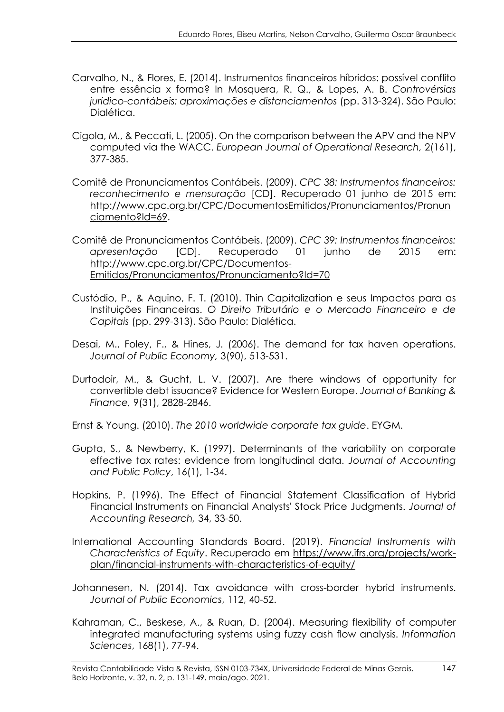- Carvalho, N., & Flores, E. (2014). Instrumentos financeiros híbridos: possível conflito entre essência x forma? In Mosquera, R. Q., & Lopes, A. B. *Controvérsias jurídico-contábeis: aproximações e distanciamentos* (pp. 313-324). São Paulo: Dialética.
- Cigola, M., & Peccati, L. (2005). On the comparison between the APV and the NPV computed via the WACC. *European Journal of Operational Research,* 2(161), 377-385.
- Comitê de Pronunciamentos Contábeis. (2009). *CPC 38: Instrumentos financeiros: reconhecimento e mensuração* [CD]. Recuperado 01 junho de 2015 em: [http://www.cpc.org.br/CPC/DocumentosEmitidos/Pronunciamentos/Pronun](http://www.cpc.org.br/CPC/DocumentosEmitidos/Pronunciamentos/Pronunciamento?Id=69) [ciamento?Id=69.](http://www.cpc.org.br/CPC/DocumentosEmitidos/Pronunciamentos/Pronunciamento?Id=69)
- Comitê de Pronunciamentos Contábeis. (2009). *CPC 39: Instrumentos financeiros: apresentação* [CD]. Recuperado 01 junho de 2015 em: [http://www.cpc.org.br/CPC/Documentos-](http://www.cpc.org.br/CPC/Documentos-Emitidos/Pronunciamentos/Pronunciamento?Id=70)[Emitidos/Pronunciamentos/Pronunciamento?Id=70](http://www.cpc.org.br/CPC/Documentos-Emitidos/Pronunciamentos/Pronunciamento?Id=70)
- Custódio, P., & Aquino, F. T. (2010). Thin Capitalization e seus Impactos para as Instituições Financeiras. *O Direito Tributário e o Mercado Financeiro e de Capitais* (pp. 299-313). São Paulo: Dialética.
- Desai, M., Foley, F., & Hines, J. (2006). The demand for tax haven operations. *Journal of Public Economy,* 3(90), 513-531.
- Durtodoir, M., & Gucht, L. V. (2007). Are there windows of opportunity for convertible debt issuance? Evidence for Western Europe. *Journal of Banking & Finance,* 9(31), 2828-2846.
- Ernst & Young. (2010). *The 2010 worldwide corporate tax guide*. EYGM.
- Gupta, S., & Newberry, K. (1997). Determinants of the variability on corporate effective tax rates: evidence from longitudinal data. *Journal of Accounting and Public Policy*, 16(1), 1-34.
- Hopkins, P. (1996). The Effect of Financial Statement Classification of Hybrid Financial Instruments on Financial Analysts' Stock Price Judgments. *Journal of Accounting Research,* 34, 33-50.
- International Accounting Standards Board. (2019). *Financial Instruments with Characteristics of Equity*. Recuperado em [https://www.ifrs.org/projects/work](https://www.ifrs.org/projects/work-plan/financial-instruments-with-characteristics-of-equity/)[plan/financial-instruments-with-characteristics-of-equity/](https://www.ifrs.org/projects/work-plan/financial-instruments-with-characteristics-of-equity/)
- Johannesen, N. (2014). Tax avoidance with cross-border hybrid instruments. *Journal of Public Economics*, 112, 40-52.
- Kahraman, C., Beskese, A., & Ruan, D. (2004). Measuring flexibility of computer integrated manufacturing systems using fuzzy cash flow analysis. *Information Sciences*, 168(1), 77-94.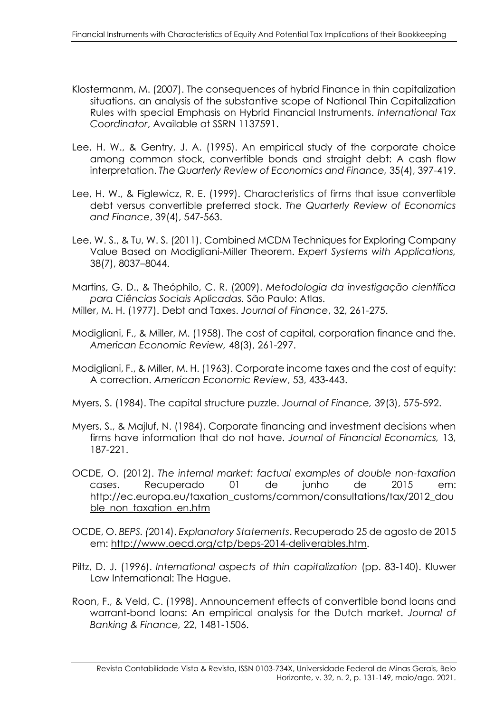- Klostermanm, M. (2007). The consequences of hybrid Finance in thin capitalization situations. an analysis of the substantive scope of National Thin Capitalization Rules with special Emphasis on Hybrid Financial Instruments. *International Tax Coordinator*, Available at SSRN 1137591.
- Lee, H. W., & Gentry, J. A. (1995). An empirical study of the corporate choice among common stock, convertible bonds and straight debt: A cash flow interpretation. *The Quarterly Review of Economics and Finance,* 35(4), 397-419.
- Lee, H. W., & Figlewicz, R. E. (1999). Characteristics of firms that issue convertible debt versus convertible preferred stock. *The Quarterly Review of Economics and Finance*, 39(4), 547-563.
- Lee, W. S., & Tu, W. S. (2011). Combined MCDM Techniques for Exploring Company Value Based on Modigliani-Miller Theorem. *Expert Systems with Applications,* 38(7), 8037–8044.
- Martins, G. D., & Theóphilo, C. R. (2009). *Metodologia da investigação científica para Ciências Sociais Aplicadas.* São Paulo: Atlas.
- Miller, M. H. (1977). Debt and Taxes. *Journal of Finance*, 32, 261-275.
- Modigliani, F., & Miller, M. (1958). The cost of capital, corporation finance and the. *American Economic Review,* 48(3), 261-297.
- Modigliani, F., & Miller, M. H. (1963). Corporate income taxes and the cost of equity: A correction. *American Economic Review*, 53, 433-443.
- Myers, S. (1984). The capital structure puzzle. *Journal of Finance,* 39(3), 575-592.
- Myers, S., & Majluf, N. (1984). Corporate financing and investment decisions when firms have information that do not have. *Journal of Financial Economics,* 13, 187-221.
- OCDE, O. (2012). *The internal market: factual examples of double non-taxation cases*. Recuperado 01 de junho de 2015 em: [http://ec.europa.eu/taxation\\_customs/common/consultations/tax/2012\\_dou](http://ec.europa.eu/taxation_customs/common/consultations/tax/2012_double_non_taxation_en.htm) [ble\\_non\\_taxation\\_en.htm](http://ec.europa.eu/taxation_customs/common/consultations/tax/2012_double_non_taxation_en.htm)
- OCDE, O. *BEPS. (*2014). *Explanatory Statements*. Recuperado 25 de agosto de 2015 em: [http://www.oecd.org/ctp/beps-2014-deliverables.htm.](http://www.oecd.org/ctp/beps-2014-deliverables.htm)
- Piltz, D. J. (1996). *International aspects of thin capitalization* (pp. 83-140). Kluwer Law International: The Hague.
- Roon, F., & Veld, C. (1998). Announcement effects of convertible bond loans and warrant-bond loans: An empirical analysis for the Dutch market. *Journal of Banking & Finance,* 22, 1481-1506.